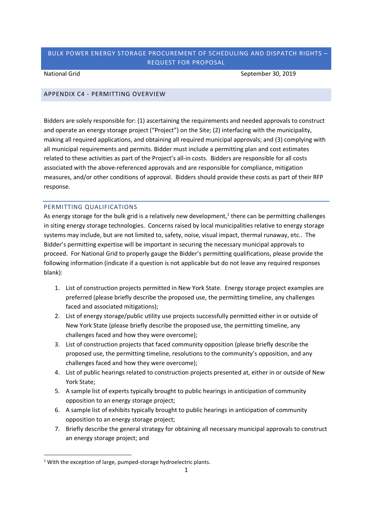National Grid September 30, 2019

## APPENDIX C4 - PERMITTING OVERVIEW

Bidders are solely responsible for: (1) ascertaining the requirements and needed approvals to construct and operate an energy storage project ("Project") on the Site; (2) interfacing with the municipality, making all required applications, and obtaining all required municipal approvals; and (3) complying with all municipal requirements and permits. Bidder must include a permitting plan and cost estimates related to these activities as part of the Project's all-in costs. Bidders are responsible for all costs associated with the above-referenced approvals and are responsible for compliance, mitigation measures, and/or other conditions of approval. Bidders should provide these costs as part of their RFP response.

#### PERMITTING QUALIFICATIONS

As energy storage for the bulk grid is a relatively new development,<sup>1</sup> there can be permitting challenges in siting energy storage technologies. Concerns raised by local municipalities relative to energy storage systems may include, but are not limited to, safety, noise, visual impact, thermal runaway, etc.. The Bidder's permitting expertise will be important in securing the necessary municipal approvals to proceed. For National Grid to properly gauge the Bidder's permitting qualifications, please provide the following information (indicate if a question is not applicable but do not leave any required responses blank):

- 1. List of construction projects permitted in New York State. Energy storage project examples are preferred (please briefly describe the proposed use, the permitting timeline, any challenges faced and associated mitigations);
- 2. List of energy storage/public utility use projects successfully permitted either in or outside of New York State (please briefly describe the proposed use, the permitting timeline, any challenges faced and how they were overcome);
- 3. List of construction projects that faced community opposition (please briefly describe the proposed use, the permitting timeline, resolutions to the community's opposition, and any challenges faced and how they were overcome);
- 4. List of public hearings related to construction projects presented at, either in or outside of New York State;
- 5. A sample list of experts typically brought to public hearings in anticipation of community opposition to an energy storage project;
- 6. A sample list of exhibits typically brought to public hearings in anticipation of community opposition to an energy storage project;
- 7. Briefly describe the general strategy for obtaining all necessary municipal approvals to construct an energy storage project; and

 $1$  With the exception of large, pumped-storage hydroelectric plants.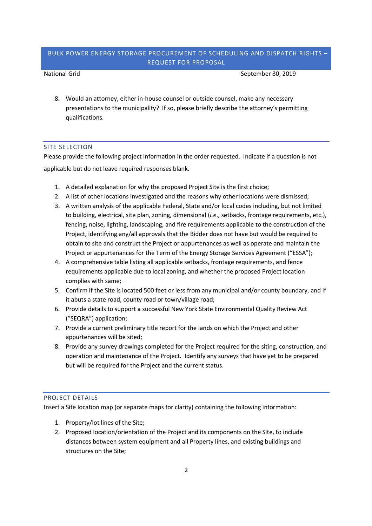National Grid September 30, 2019

8. Would an attorney, either in-house counsel or outside counsel, make any necessary presentations to the municipality? If so, please briefly describe the attorney's permitting qualifications.

## SITE SELECTION

Please provide the following project information in the order requested. Indicate if a question is not applicable but do not leave required responses blank.

- 1. A detailed explanation for why the proposed Project Site is the first choice;
- 2. A list of other locations investigated and the reasons why other locations were dismissed;
- 3. A written analysis of the applicable Federal, State and/or local codes including, but not limited to building, electrical, site plan, zoning, dimensional (*i.e*., setbacks, frontage requirements, etc.), fencing, noise, lighting, landscaping, and fire requirements applicable to the construction of the Project, identifying any/all approvals that the Bidder does not have but would be required to obtain to site and construct the Project or appurtenances as well as operate and maintain the Project or appurtenances for the Term of the Energy Storage Services Agreement ("ESSA");
- 4. A comprehensive table listing all applicable setbacks, frontage requirements, and fence requirements applicable due to local zoning, and whether the proposed Project location complies with same;
- 5. Confirm if the Site is located 500 feet or less from any municipal and/or county boundary, and if it abuts a state road, county road or town/village road;
- 6. Provide details to support a successful New York State Environmental Quality Review Act ("SEQRA") application;
- 7. Provide a current preliminary title report for the lands on which the Project and other appurtenances will be sited;
- 8. Provide any survey drawings completed for the Project required for the siting, construction, and operation and maintenance of the Project. Identify any surveys that have yet to be prepared but will be required for the Project and the current status.

## PROJECT DETAILS

Insert a Site location map (or separate maps for clarity) containing the following information:

- 1. Property/lot lines of the Site;
- 2. Proposed location/orientation of the Project and its components on the Site, to include distances between system equipment and all Property lines, and existing buildings and structures on the Site;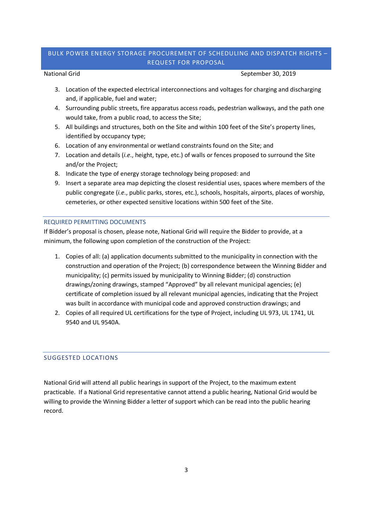National Grid September 30, 2019

- 3. Location of the expected electrical interconnections and voltages for charging and discharging and, if applicable, fuel and water;
- 4. Surrounding public streets, fire apparatus access roads, pedestrian walkways, and the path one would take, from a public road, to access the Site;
- 5. All buildings and structures, both on the Site and within 100 feet of the Site's property lines, identified by occupancy type;
- 6. Location of any environmental or wetland constraints found on the Site; and
- 7. Location and details (*i.e*., height, type, etc.) of walls or fences proposed to surround the Site and/or the Project;
- 8. Indicate the type of energy storage technology being proposed: and
- 9. Insert a separate area map depicting the closest residential uses, spaces where members of the public congregate (*i.e*., public parks, stores, etc.), schools, hospitals, airports, places of worship, cemeteries, or other expected sensitive locations within 500 feet of the Site.

## REQUIRED PERMITTING DOCUMENTS

If Bidder's proposal is chosen, please note, National Grid will require the Bidder to provide, at a minimum, the following upon completion of the construction of the Project:

- 1. Copies of all: (a) application documents submitted to the municipality in connection with the construction and operation of the Project; (b) correspondence between the Winning Bidder and municipality; (c) permits issued by municipality to Winning Bidder; (d) construction drawings/zoning drawings, stamped "Approved" by all relevant municipal agencies; (e) certificate of completion issued by all relevant municipal agencies, indicating that the Project was built in accordance with municipal code and approved construction drawings; and
- 2. Copies of all required UL certifications for the type of Project, including UL 973, UL 1741, UL 9540 and UL 9540A.

# SUGGESTED LOCATIONS

National Grid will attend all public hearings in support of the Project, to the maximum extent practicable. If a National Grid representative cannot attend a public hearing, National Grid would be willing to provide the Winning Bidder a letter of support which can be read into the public hearing record.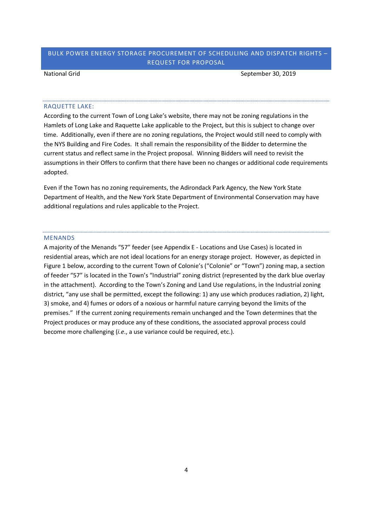National Grid September 30, 2019

#### RAQUETTE LAKE:

According to the current Town of Long Lake's website, there may not be zoning regulations in the Hamlets of Long Lake and Raquette Lake applicable to the Project, but this is subject to change over time. Additionally, even if there are no zoning regulations, the Project would still need to comply with the NYS Building and Fire Codes. It shall remain the responsibility of the Bidder to determine the current status and reflect same in the Project proposal. Winning Bidders will need to revisit the assumptions in their Offers to confirm that there have been no changes or additional code requirements adopted.

Even if the Town has no zoning requirements, the Adirondack Park Agency, the New York State Department of Health, and the New York State Department of Environmental Conservation may have additional regulations and rules applicable to the Project.

#### MENANDS

A majority of the Menands "57" feeder (see Appendix E - Locations and Use Cases) is located in residential areas, which are not ideal locations for an energy storage project. However, as depicted in Figure 1 below, according to the current Town of Colonie's ("Colonie" or "Town") zoning map, a section of feeder "57" is located in the Town's "Industrial" zoning district (represented by the dark blue overlay in the attachment). According to the Town's Zoning and Land Use regulations, in the Industrial zoning district, "any use shall be permitted, except the following: 1) any use which produces radiation, 2) light, 3) smoke, and 4) fumes or odors of a noxious or harmful nature carrying beyond the limits of the premises." If the current zoning requirements remain unchanged and the Town determines that the Project produces or may produce any of these conditions, the associated approval process could become more challenging (*i.e*., a use variance could be required, etc.).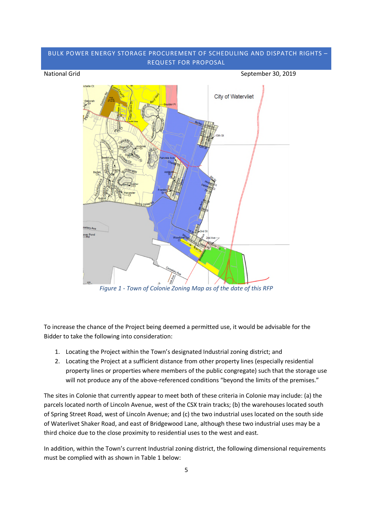# BULK POWER ENERGY STORAGE PROCUREMENT OF SCHEDULING AND DISPATCH RIGHTS – REQUEST FOR PROPOSAL National Grid September 30, 2019 **City of Watervliet**

To increase the chance of the Project being deemed a permitted use, it would be advisable for the Bidder to take the following into consideration:

*Figure 1 - Town of Colonie Zoning Map as of the date of this RFP*

1. Locating the Project within the Town's designated Industrial zoning district; and

ver Po

2. Locating the Project at a sufficient distance from other property lines (especially residential property lines or properties where members of the public congregate) such that the storage use will not produce any of the above-referenced conditions "beyond the limits of the premises."

The sites in Colonie that currently appear to meet both of these criteria in Colonie may include: (a) the parcels located north of Lincoln Avenue, west of the CSX train tracks; (b) the warehouses located south of Spring Street Road, west of Lincoln Avenue; and (c) the two industrial uses located on the south side of Waterlivet Shaker Road, and east of Bridgewood Lane, although these two industrial uses may be a third choice due to the close proximity to residential uses to the west and east.

In addition, within the Town's current Industrial zoning district, the following dimensional requirements must be complied with as shown in Table 1 below: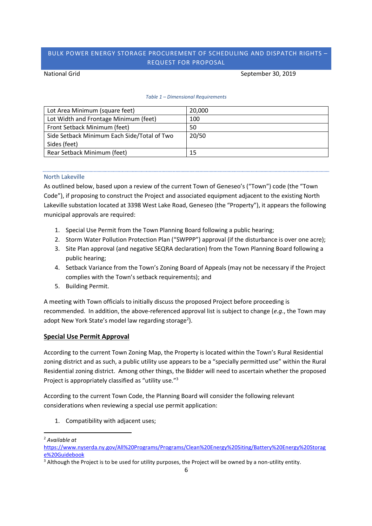#### National Grid September 30, 2019

#### *Table 1 – Dimensional Requirements*

| Lot Area Minimum (square feet)              | 20,000 |
|---------------------------------------------|--------|
| Lot Width and Frontage Minimum (feet)       | 100    |
| Front Setback Minimum (feet)                | 50     |
| Side Setback Minimum Each Side/Total of Two | 20/50  |
| Sides (feet)                                |        |
| Rear Setback Minimum (feet)                 | 15     |

# North Lakeville

As outlined below, based upon a review of the current Town of Geneseo's ("Town") code (the "Town Code"), if proposing to construct the Project and associated equipment adjacent to the existing North Lakeville substation located at 3398 West Lake Road, Geneseo (the "Property"), it appears the following municipal approvals are required:

- 1. Special Use Permit from the Town Planning Board following a public hearing;
- 2. Storm Water Pollution Protection Plan ("SWPPP") approval (if the disturbance is over one acre);
- 3. Site Plan approval (and negative SEQRA declaration) from the Town Planning Board following a public hearing;
- 4. Setback Variance from the Town's Zoning Board of Appeals (may not be necessary if the Project complies with the Town's setback requirements); and
- 5. Building Permit.

A meeting with Town officials to initially discuss the proposed Project before proceeding is recommended. In addition, the above-referenced approval list is subject to change (*e.g*., the Town may adopt New York State's model law regarding storage<sup>2</sup>).

# **Special Use Permit Approval**

According to the current Town Zoning Map, the Property is located within the Town's Rural Residential zoning district and as such, a public utility use appears to be a "specially permitted use" within the Rural Residential zoning district. Among other things, the Bidder will need to ascertain whether the proposed Project is appropriately classified as "utility use."<sup>3</sup>

According to the current Town Code, the Planning Board will consider the following relevant considerations when reviewing a special use permit application:

1. Compatibility with adjacent uses;

<sup>2</sup> *Available at*

https://www.nyserda.ny.gov/All%20Programs/Programs/Clean%20Energy%20Siting/Battery%20Energy%20Storag e%20Guidebook

<sup>&</sup>lt;sup>3</sup> Although the Project is to be used for utility purposes, the Project will be owned by a non-utility entity.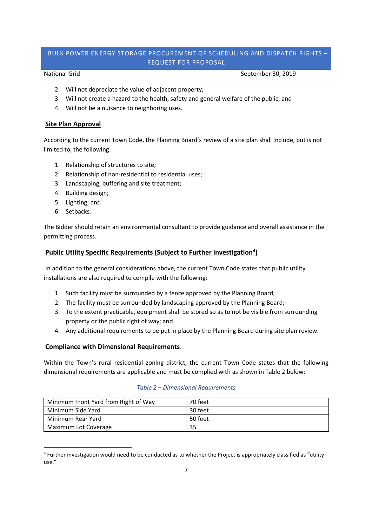National Grid September 30, 2019

- 2. Will not depreciate the value of adjacent property;
- 3. Will not create a hazard to the health, safety and general welfare of the public; and
- 4. Will not be a nuisance to neighboring uses.

# **Site Plan Approval**

According to the current Town Code, the Planning Board's review of a site plan shall include, but is not limited to, the following:

- 1. Relationship of structures to site;
- 2. Relationship of non-residential to residential uses;
- 3. Landscaping, buffering and site treatment;
- 4. Building design;
- 5. Lighting; and
- 6. Setbacks.

The Bidder should retain an environmental consultant to provide guidance and overall assistance in the permitting process.

# **Public Utility Specific Requirements (Subject to Further Investigation<sup>4</sup> )**

In addition to the general considerations above, the current Town Code states that public utility installations are also required to compile with the following:

- 1. Such facility must be surrounded by a fence approved by the Planning Board;
- 2. The facility must be surrounded by landscaping approved by the Planning Board;
- 3. To the extent practicable, equipment shall be stored so as to not be visible from surrounding property or the public right of way; and
- 4. Any additional requirements to be put in place by the Planning Board during site plan review.

# **Compliance with Dimensional Requirements**:

Within the Town's rural residential zoning district, the current Town Code states that the following dimensional requirements are applicable and must be complied with as shown in Table 2 below:

## *Table 2 – Dimensional Requirements*

| Minimum Front Yard from Right of Way | 70 feet |
|--------------------------------------|---------|
| Minimum Side Yard                    | 30 feet |
| Minimum Rear Yard                    | 50 feet |
| Maximum Lot Coverage                 | 35      |

<sup>4</sup> Further investigation would need to be conducted as to whether the Project is appropriately classified as "utility use."